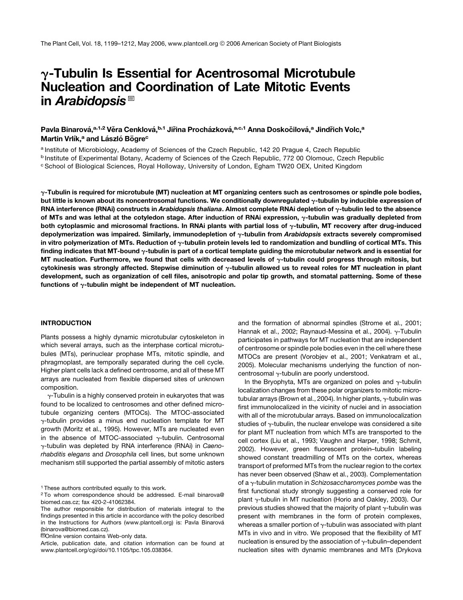# $\gamma$ -Tubulin Is Essential for Acentrosomal Microtubule Nucleation and Coordination of Late Mitotic Events in Arabidopsis $^{\text{\textregistered}}$

Pavla Binarová,<sup>a,1,2</sup> Věra Cenklová,<sup>b,1</sup> Jiřina Procházková,<sup>a,c,1</sup> Anna Doskočilová,<sup>a</sup> Jindřich Volc,<sup>a</sup> Martin Vrlík,<sup>a</sup> and László Bögre<sup>c</sup>

a Institute of Microbiology, Academy of Sciences of the Czech Republic, 142 20 Prague 4, Czech Republic

<sup>b</sup> Institute of Experimental Botany, Academy of Sciences of the Czech Republic, 772 00 Olomouc, Czech Republic

<sup>c</sup> School of Biological Sciences, Royal Holloway, University of London, Egham TW20 OEX, United Kingdom

 $\gamma$ -Tubulin is required for microtubule (MT) nucleation at MT organizing centers such as centrosomes or spindle pole bodies, but little is known about its noncentrosomal functions. We conditionally downregulated  $\gamma$ -tubulin by inducible expression of RNA interference (RNAi) constructs in Arabidopsis thaliana. Almost complete RNAi depletion of  $\gamma$ -tubulin led to the absence of MTs and was lethal at the cotyledon stage. After induction of RNAi expression,  $\gamma$ -tubulin was gradually depleted from both cytoplasmic and microsomal fractions. In RNAi plants with partial loss of  $\gamma$ -tubulin, MT recovery after drug-induced depolymerization was impaired. Similarly, immunodepletion of y-tubulin from Arabidopsis extracts severely compromised in vitro polymerization of MTs. Reduction of  $\gamma$ -tubulin protein levels led to randomization and bundling of cortical MTs. This finding indicates that MT-bound  $\gamma$ -tubulin is part of a cortical template guiding the microtubular network and is essential for MT nucleation. Furthermore, we found that cells with decreased levels of  $\gamma$ -tubulin could progress through mitosis, but cytokinesis was strongly affected. Stepwise diminution of  $\gamma$ -tubulin allowed us to reveal roles for MT nucleation in plant development, such as organization of cell files, anisotropic and polar tip growth, and stomatal patterning. Some of these functions of  $\gamma$ -tubulin might be independent of MT nucleation.

#### INTRODUCTION

Plants possess a highly dynamic microtubular cytoskeleton in which several arrays, such as the interphase cortical microtubules (MTs), perinuclear prophase MTs, mitotic spindle, and phragmoplast, are temporally separated during the cell cycle. Higher plant cells lack a defined centrosome, and all of these MT arrays are nucleated from flexible dispersed sites of unknown composition.

 $\gamma$ -Tubulin is a highly conserved protein in eukaryotes that was found to be localized to centrosomes and other defined microtubule organizing centers (MTOCs). The MTOC-associated  $\gamma$ -tubulin provides a minus end nucleation template for MT growth (Moritz et al., 1995). However, MTs are nucleated even in the absence of MTOC-associated  $\gamma$ -tubulin. Centrosomal g-tubulin was depleted by RNA interference (RNAi) in *Caenorhabditis elegans* and *Drosophila* cell lines, but some unknown mechanism still supported the partial assembly of mitotic asters and the formation of abnormal spindles (Strome et al., 2001; Hannak et al., 2002; Raynaud-Messina et al., 2004).  $\gamma$ -Tubulin participates in pathways for MT nucleation that are independent of centrosome or spindle pole bodies even in the cell where these MTOCs are present (Vorobjev et al., 2001; Venkatram et al., 2005). Molecular mechanisms underlying the function of noncentrosomal  $\gamma$ -tubulin are poorly understood.

In the Bryophyta, MTs are organized on poles and  $\gamma$ -tubulin localization changes from these polar organizers to mitotic microtubular arrays (Brown et al., 2004). In higher plants,  $\gamma$ -tubulin was first immunolocalized in the vicinity of nuclei and in association with all of the microtubular arrays. Based on immunolocalization studies of  $\gamma$ -tubulin, the nuclear envelope was considered a site for plant MT nucleation from which MTs are transported to the cell cortex (Liu et al., 1993; Vaughn and Harper, 1998; Schmit, 2002). However, green fluorescent protein–tubulin labeling showed constant treadmilling of MTs on the cortex, whereas transport of preformed MTs from the nuclear region to the cortex has never been observed (Shaw et al., 2003). Complementation of a g-tubulin mutation in *Schizosaccharomyces pombe* was the first functional study strongly suggesting a conserved role for plant  $\gamma$ -tubulin in MT nucleation (Horio and Oakley, 2003). Our previous studies showed that the majority of plant  $\gamma$ -tubulin was present with membranes in the form of protein complexes, whereas a smaller portion of  $\gamma$ -tubulin was associated with plant MTs in vivo and in vitro. We proposed that the flexibility of MT nucleation is ensured by the association of  $\gamma$ -tubulin–dependent nucleation sites with dynamic membranes and MTs (Drykova

<sup>&</sup>lt;sup>1</sup> These authors contributed equally to this work.

<sup>2</sup> To whom correspondence should be addressed. E-mail binarova@ biomed.cas.cz; fax 420-2-41062384.

The author responsible for distribution of materials integral to the findings presented in this article in accordance with the policy described in the Instructions for Authors (www.plantcell.org) is: Pavla Binarová (binarova@biomed.cas.cz).

<sup>&</sup>lt;sup>M</sup>Online version contains Web-only data.

Article, publication date, and citation information can be found at www.plantcell.org/cgi/doi/10.1105/tpc.105.038364.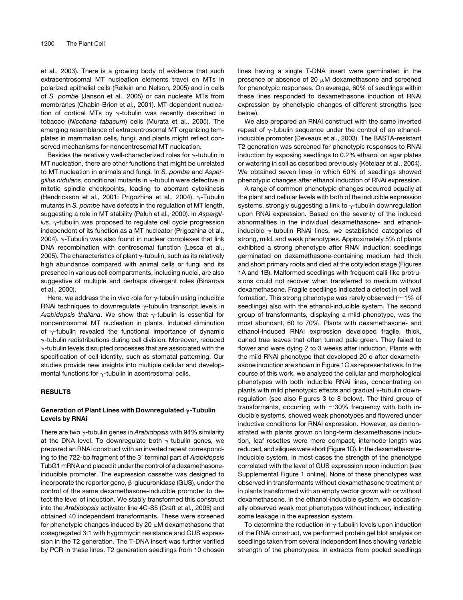et al., 2003). There is a growing body of evidence that such extracentrosomal MT nucleation elements travel on MTs in polarized epithelial cells (Reilein and Nelson, 2005) and in cells of *S. pombe* (Janson et al., 2005) or can nucleate MTs from membranes (Chabin-Brion et al., 2001). MT-dependent nucleation of cortical MTs by  $\gamma$ -tubulin was recently described in tobacco (*Nicotiana tabacum*) cells (Murata et al., 2005). The emerging resemblance of extracentrosomal MT organizing templates in mammalian cells, fungi, and plants might reflect conserved mechanisms for noncentrosomal MT nucleation.

Besides the relatively well-characterized roles for  $\gamma$ -tubulin in MT nucleation, there are other functions that might be unrelated to MT nucleation in animals and fungi. In *S. pombe* and *Aspergillus nidulans*, conditional mutants in g-tubulin were defective in mitotic spindle checkpoints, leading to aberrant cytokinesis (Hendrickson et al., 2001; Prigozhina et al., 2004).  $\gamma$ -Tubulin mutants in *S. pombe* have defects in the regulation of MT length, suggesting a role in MT stability (Paluh et al., 2000). In *Aspergil*lus, γ-tubulin was proposed to regulate cell cycle progression independent of its function as a MT nucleator (Prigozhina et al., 2004).  $\gamma$ -Tubulin was also found in nuclear complexes that link DNA recombination with centrosomal function (Lesca et al., 2005). The characteristics of plant  $\gamma$ -tubulin, such as its relatively high abundance compared with animal cells or fungi and its presence in various cell compartments, including nuclei, are also suggestive of multiple and perhaps divergent roles (Binarova et al., 2000).

Here, we address the in vivo role for  $\gamma$ -tubulin using inducible RNAi techniques to downregulate  $\gamma$ -tubulin transcript levels in *Arabidopsis thaliana*. We show that  $\gamma$ -tubulin is essential for noncentrosomal MT nucleation in plants. Induced diminution of  $\gamma$ -tubulin revealed the functional importance of dynamic g-tubulin redistributions during cell division. Moreover, reduced  $\gamma$ -tubulin levels disrupted processes that are associated with the specification of cell identity, such as stomatal patterning. Our studies provide new insights into multiple cellular and developmental functions for  $\gamma$ -tubulin in acentrosomal cells.

### RESULTS

### Generation of Plant Lines with Downregulated  $\gamma$ -Tubulin Levels by RNAi

There are two y-tubulin genes in *Arabidopsis* with 94% similarity at the DNA level. To downregulate both  $\gamma$ -tubulin genes, we prepared an RNAi construct with an inverted repeat corresponding to the 722-bp fragment of the 3' terminal part of Arabidopsis TubG1 mRNA and placed it under the control of a dexamethasoneinducible promoter. The expression cassette was designed to incorporate the reporter gene,  $\beta$ -glucuronidase (GUS), under the control of the same dexamethasone-inducible promoter to detect the level of induction. We stably transformed this construct into the *Arabidopsis* activator line 4C-S5 (Craft et al., 2005) and obtained 40 independent transformants. These were screened for phenotypic changes induced by 20  $\mu$ M dexamethasone that cosegregated 3:1 with hygromycin resistance and GUS expression in the T2 generation. The T-DNA insert was further verified by PCR in these lines. T2 generation seedlings from 10 chosen lines having a single T-DNA insert were germinated in the presence or absence of 20  $\mu$ M dexamethasone and screened for phenotypic responses. On average, 60% of seedlings within these lines responded to dexamethasone induction of RNAi expression by phenotypic changes of different strengths (see below).

We also prepared an RNAi construct with the same inverted repeat of  $\gamma$ -tubulin sequence under the control of an ethanolinducible promoter (Deveaux et al., 2003). The BASTA-resistant T2 generation was screened for phenotypic responses to RNAi induction by exposing seedlings to 0.2% ethanol on agar plates or watering in soil as described previously (Ketelaar et al., 2004). We obtained seven lines in which 60% of seedlings showed phenotypic changes after ethanol induction of RNAi expression.

A range of common phenotypic changes occurred equally at the plant and cellular levels with both of the inducible expression systems, strongly suggesting a link to  $\gamma$ -tubulin downregulation upon RNAi expression. Based on the severity of the induced abnormalities in the individual dexamethasone- and ethanolinducible  $\gamma$ -tubulin RNAi lines, we established categories of strong, mild, and weak phenotypes. Approximately 5% of plants exhibited a strong phenotype after RNAi induction; seedlings germinated on dexamethasone-containing medium had thick and short primary roots and died at the cotyledon stage (Figures 1A and 1B). Malformed seedlings with frequent calli-like protrusions could not recover when transferred to medium without dexamethasone. Fragile seedlings indicated a defect in cell wall formation. This strong phenotype was rarely observed ( $\sim$ 1% of seedlings) also with the ethanol-inducible system. The second group of transformants, displaying a mild phenotype, was the most abundant, 60 to 70%. Plants with dexamethasone- and ethanol-induced RNAi expression developed fragile, thick, curled true leaves that often turned pale green. They failed to flower and were dying 2 to 3 weeks after induction. Plants with the mild RNAi phenotype that developed 20 d after dexamethasone induction are shown in Figure 1C as representatives. In the course of this work, we analyzed the cellular and morphological phenotypes with both inducible RNAi lines, concentrating on plants with mild phenotypic effects and gradual  $\gamma$ -tubulin downregulation (see also Figures 3 to 8 below). The third group of transformants, occurring with  $\sim$ 30% frequency with both inducible systems, showed weak phenotypes and flowered under inductive conditions for RNAi expression. However, as demonstrated with plants grown on long-term dexamethasone induction, leaf rosettes were more compact, internode length was reduced, and siliques were short (Figure 1D). In the dexamethasoneinducible system, in most cases the strength of the phenotype correlated with the level of GUS expression upon induction (see Supplemental Figure 1 online). None of these phenotypes was observed in transformants without dexamethasone treatment or in plants transformed with an empty vector grown with or without dexamethasone. In the ethanol-inducible system, we occasionally observed weak root phenotypes without inducer, indicating some leakage in the expression system.

To determine the reduction in  $\gamma$ -tubulin levels upon induction of the RNAi construct, we performed protein gel blot analysis on seedlings taken from several independent lines showing variable strength of the phenotypes. In extracts from pooled seedlings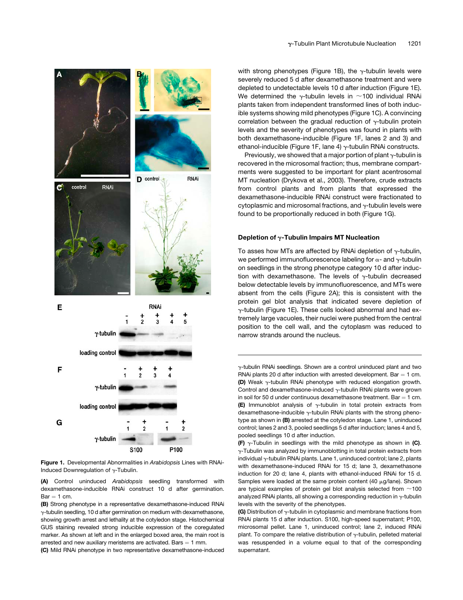

Figure 1. Developmental Abnormalities in *Arabidopsis* Lines with RNAi-Induced Downregulation of  $\gamma$ -Tubulin.

(A) Control uninduced *Arabidopsis* seedling transformed with dexamethasone-inducible RNAi construct 10 d after germination.  $Bar = 1 cm$ .

(B) Strong phenotype in a representative dexamethasone-induced RNAi g-tubulin seedling, 10 d after germination on medium with dexamethasone, showing growth arrest and lethality at the cotyledon stage. Histochemical GUS staining revealed strong inducible expression of the coregulated marker. As shown at left and in the enlarged boxed area, the main root is arrested and new auxiliary meristems are activated. Bars  $= 1$  mm.

(C) Mild RNAi phenotype in two representative dexamethasone-induced

with strong phenotypes (Figure 1B), the  $\gamma$ -tubulin levels were severely reduced 5 d after dexamethasone treatment and were depleted to undetectable levels 10 d after induction (Figure 1E). We determined the  $\gamma$ -tubulin levels in  $\sim$ 100 individual RNAi plants taken from independent transformed lines of both inducible systems showing mild phenotypes (Figure 1C). A convincing correlation between the gradual reduction of  $\gamma$ -tubulin protein levels and the severity of phenotypes was found in plants with both dexamethasone-inducible (Figure 1F, lanes 2 and 3) and ethanol-inducible (Figure 1F, lane 4)  $\gamma$ -tubulin RNAi constructs.

Previously, we showed that a major portion of plant  $\gamma$ -tubulin is recovered in the microsomal fraction; thus, membrane compartments were suggested to be important for plant acentrosomal MT nucleation (Drykova et al., 2003). Therefore, crude extracts from control plants and from plants that expressed the dexamethasone-inducible RNAi construct were fractionated to cytoplasmic and microsomal fractions, and  $\gamma$ -tubulin levels were found to be proportionally reduced in both (Figure 1G).

### Depletion of  $\gamma$ -Tubulin Impairs MT Nucleation

To asses how MTs are affected by RNAi depletion of  $\gamma$ -tubulin, we performed immunofluorescence labeling for  $\alpha$ - and  $\gamma$ -tubulin on seedlings in the strong phenotype category 10 d after induction with dexamethasone. The levels of  $\gamma$ -tubulin decreased below detectable levels by immunofluorescence, and MTs were absent from the cells (Figure 2A); this is consistent with the protein gel blot analysis that indicated severe depletion of g-tubulin (Figure 1E). These cells looked abnormal and had extremely large vacuoles, their nuclei were pushed from the central position to the cell wall, and the cytoplasm was reduced to narrow strands around the nucleus.

g-tubulin RNAi seedlings. Shown are a control uninduced plant and two RNAi plants 20 d after induction with arrested development. Bar  $= 1$  cm. (D) Weak  $\gamma$ -tubulin RNAi phenotype with reduced elongation growth. Control and dexamethasone-induced  $\gamma$ -tubulin RNAi plants were grown in soil for 50 d under continuous dexamethasone treatment. Bar  $= 1$  cm. **(E)** Immunoblot analysis of  $\gamma$ -tubulin in total protein extracts from dexamethasone-inducible  $\gamma$ -tubulin RNAi plants with the strong phenotype as shown in (B) arrested at the cotyledon stage. Lane 1, uninduced control; lanes 2 and 3, pooled seedlings 5 d after induction; lanes 4 and 5, pooled seedlings 10 d after induction.

**(F)**  $\gamma$ -Tubulin in seedlings with the mild phenotype as shown in (C).  $\gamma$ -Tubulin was analyzed by immunoblotting in total protein extracts from individual  $\gamma$ -tubulin RNAi plants. Lane 1, uninduced control; lane 2, plants with dexamethasone-induced RNAi for 15 d; lane 3, dexamethasone induction for 20 d; lane 4, plants with ethanol-induced RNAi for 15 d. Samples were loaded at the same protein content (40  $\mu$ g/lane). Shown are typical examples of protein gel blot analysis selected from  $\sim$ 100 analyzed RNAi plants, all showing a corresponding reduction in  $\gamma$ -tubulin levels with the severity of the phenotypes.

(G) Distribution of  $\gamma$ -tubulin in cytoplasmic and membrane fractions from RNAi plants 15 d after induction. S100, high-speed supernatant; P100, microsomal pellet. Lane 1, uninduced control; lane 2, induced RNAi plant. To compare the relative distribution of  $\gamma$ -tubulin, pelleted material was resuspended in a volume equal to that of the corresponding supernatant.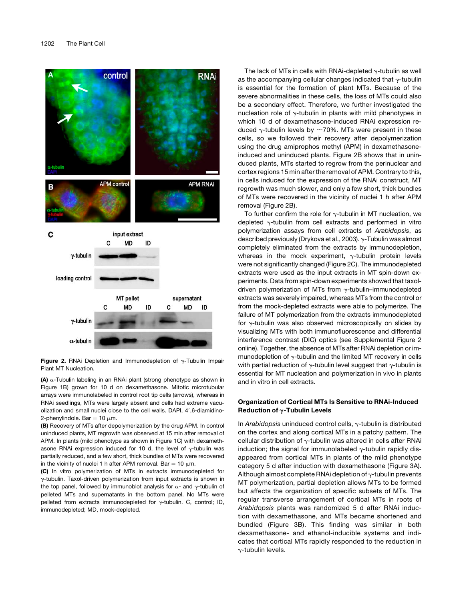



(A)  $\alpha$ -Tubulin labeling in an RNAi plant (strong phenotype as shown in Figure 1B) grown for 10 d on dexamethasone. Mitotic microtubular arrays were immunolabeled in control root tip cells (arrows), whereas in RNAi seedlings, MTs were largely absent and cells had extreme vacuolization and small nuclei close to the cell walls. DAPI, 4',6-diamidino-2-phenylindole. Bar =  $10 \mu m$ .

(B) Recovery of MTs after depolymerization by the drug APM. In control uninduced plants, MT regrowth was observed at 15 min after removal of APM. In plants (mild phenotype as shown in Figure 1C) with dexamethasone RNAi expression induced for 10 d, the level of  $\gamma$ -tubulin was partially reduced, and a few short, thick bundles of MTs were recovered in the vicinity of nuclei 1 h after APM removal. Bar = 10  $\mu$ m.

(C) In vitro polymerization of MTs in extracts immunodepleted for  $\gamma$ -tubulin. Taxol-driven polymerization from input extracts is shown in the top panel, followed by immunoblot analysis for  $\alpha$ - and  $\gamma$ -tubulin of pelleted MTs and supernatants in the bottom panel. No MTs were pelleted from extracts immunodepleted for  $\gamma$ -tubulin. C, control; ID, immunodepleted; MD, mock-depleted.

The lack of MTs in cells with RNAi-depleted  $\gamma$ -tubulin as well as the accompanying cellular changes indicated that  $\gamma$ -tubulin is essential for the formation of plant MTs. Because of the severe abnormalities in these cells, the loss of MTs could also be a secondary effect. Therefore, we further investigated the nucleation role of  $\gamma$ -tubulin in plants with mild phenotypes in which 10 d of dexamethasone-induced RNAi expression reduced y-tubulin levels by  $\sim$ 70%. MTs were present in these cells, so we followed their recovery after depolymerization using the drug amiprophos methyl (APM) in dexamethasoneinduced and uninduced plants. Figure 2B shows that in uninduced plants, MTs started to regrow from the perinuclear and cortex regions 15 min after the removal of APM. Contrary to this, in cells induced for the expression of the RNAi construct, MT regrowth was much slower, and only a few short, thick bundles of MTs were recovered in the vicinity of nuclei 1 h after APM removal (Figure 2B).

To further confirm the role for  $\gamma$ -tubulin in MT nucleation, we depleted  $\gamma$ -tubulin from cell extracts and performed in vitro polymerization assays from cell extracts of *Arabidopsis*, as described previously (Drykova et al., 2003).  $\gamma$ -Tubulin was almost completely eliminated from the extracts by immunodepletion, whereas in the mock experiment,  $\gamma$ -tubulin protein levels were not significantly changed (Figure 2C). The immunodepleted extracts were used as the input extracts in MT spin-down experiments. Data from spin-down experiments showed that taxoldriven polymerization of MTs from  $\gamma$ -tubulin–immunodepleted extracts was severely impaired, whereas MTs from the control or from the mock-depleted extracts were able to polymerize. The failure of MT polymerization from the extracts immunodepleted for  $\gamma$ -tubulin was also observed microscopically on slides by visualizing MTs with both immunofluorescence and differential interference contrast (DIC) optics (see Supplemental Figure 2 online). Together, the absence of MTs after RNAi depletion or immunodepletion of  $\gamma$ -tubulin and the limited MT recovery in cells with partial reduction of  $\gamma$ -tubulin level suggest that  $\gamma$ -tubulin is essential for MT nucleation and polymerization in vivo in plants and in vitro in cell extracts.

### Organization of Cortical MTs Is Sensitive to RNAi-Induced Reduction of  $\gamma$ -Tubulin Levels

In *Arabidopsis* uninduced control cells, y-tubulin is distributed on the cortex and along cortical MTs in a patchy pattern. The cellular distribution of  $\gamma$ -tubulin was altered in cells after RNAi induction; the signal for immunolabeled  $\gamma$ -tubulin rapidly disappeared from cortical MTs in plants of the mild phenotype category 5 d after induction with dexamethasone (Figure 3A). Although almost complete RNA idepletion of  $\gamma$ -tubulin prevents MT polymerization, partial depletion allows MTs to be formed but affects the organization of specific subsets of MTs. The regular transverse arrangement of cortical MTs in roots of *Arabidopsis* plants was randomized 5 d after RNAi induction with dexamethasone, and MTs became shortened and bundled (Figure 3B). This finding was similar in both dexamethasone- and ethanol-inducible systems and indicates that cortical MTs rapidly responded to the reduction in  $y$ -tubulin levels.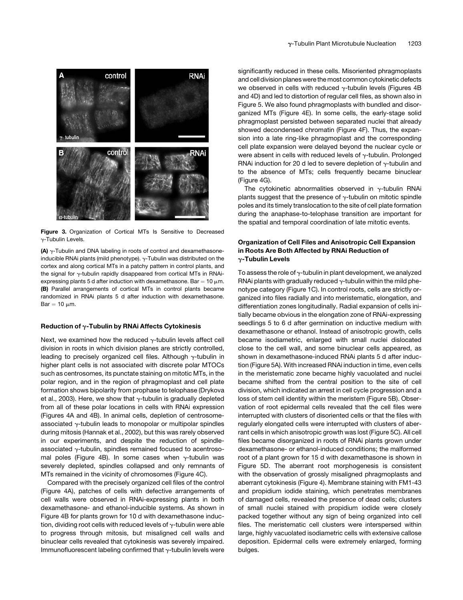

Figure 3. Organization of Cortical MTs Is Sensitive to Decreased g-Tubulin Levels.

(A)  $\gamma$ -Tubulin and DNA labeling in roots of control and dexamethasoneinducible RNAi plants (mild phenotype).  $\gamma$ -Tubulin was distributed on the cortex and along cortical MTs in a patchy pattern in control plants, and the signal for  $\gamma$ -tubulin rapidly disappeared from cortical MTs in RNAiexpressing plants 5 d after induction with dexamethasone. Bar =  $10 \mu m$ . (B) Parallel arrangements of cortical MTs in control plants became randomized in RNAi plants 5 d after induction with dexamethasone.  $Bar = 10 \mu m$ .

### Reduction of  $\gamma$ -Tubulin by RNAi Affects Cytokinesis

Next, we examined how the reduced  $\gamma$ -tubulin levels affect cell division in roots in which division planes are strictly controlled, leading to precisely organized cell files. Although  $\gamma$ -tubulin in higher plant cells is not associated with discrete polar MTOCs such as centrosomes, its punctate staining on mitotic MTs, in the polar region, and in the region of phragmoplast and cell plate formation shows bipolarity from prophase to telophase (Drykova et al., 2003). Here, we show that  $\gamma$ -tubulin is gradually depleted from all of these polar locations in cells with RNAi expression (Figures 4A and 4B). In animal cells, depletion of centrosomeassociated  $\gamma$ -tubulin leads to monopolar or multipolar spindles during mitosis (Hannak et al., 2002), but this was rarely observed in our experiments, and despite the reduction of spindleassociated  $\gamma$ -tubulin, spindles remained focused to acentrosomal poles (Figure 4B). In some cases when  $\gamma$ -tubulin was severely depleted, spindles collapsed and only remnants of MTs remained in the vicinity of chromosomes (Figure 4C).

Compared with the precisely organized cell files of the control (Figure 4A), patches of cells with defective arrangements of cell walls were observed in RNAi-expressing plants in both dexamethasone- and ethanol-inducible systems. As shown in Figure 4B for plants grown for 10 d with dexamethasone induction, dividing root cells with reduced levels of  $\gamma$ -tubulin were able to progress through mitosis, but misaligned cell walls and binuclear cells revealed that cytokinesis was severely impaired. Immunofluorescent labeling confirmed that  $\gamma$ -tubulin levels were

significantly reduced in these cells. Misoriented phragmoplasts and cell division planes were the most common cytokinetic defects we observed in cells with reduced  $\gamma$ -tubulin levels (Figures 4B) and 4D) and led to distortion of regular cell files, as shown also in Figure 5. We also found phragmoplasts with bundled and disorganized MTs (Figure 4E). In some cells, the early-stage solid phragmoplast persisted between separated nuclei that already showed decondensed chromatin (Figure 4F). Thus, the expansion into a late ring-like phragmoplast and the corresponding cell plate expansion were delayed beyond the nuclear cycle or were absent in cells with reduced levels of  $\gamma$ -tubulin. Prolonged RNAi induction for 20 d led to severe depletion of  $\gamma$ -tubulin and to the absence of MTs; cells frequently became binuclear (Figure 4G).

The cytokinetic abnormalities observed in  $\gamma$ -tubulin RNAi plants suggest that the presence of  $\gamma$ -tubulin on mitotic spindle poles and its timely translocation to the site of cell plate formation during the anaphase-to-telophase transition are important for the spatial and temporal coordination of late mitotic events.

### Organization of Cell Files and Anisotropic Cell Expansion in Roots Are Both Affected by RNAi Reduction of  $\gamma$ -Tubulin Levels

To assess the role of  $\gamma$ -tubulin in plant development, we analyzed RNAi plants with gradually reduced  $\gamma$ -tubulin within the mild phenotype category (Figure 1C). In control roots, cells are strictly organized into files radially and into meristematic, elongation, and differentiation zones longitudinally. Radial expansion of cells initially became obvious in the elongation zone of RNAi-expressing seedlings 5 to 6 d after germination on inductive medium with dexamethasone or ethanol. Instead of anisotropic growth, cells became isodiametric, enlarged with small nuclei dislocated close to the cell wall, and some binuclear cells appeared, as shown in dexamethasone-induced RNAi plants 5 d after induction (Figure 5A). With increased RNAi induction in time, even cells in the meristematic zone became highly vacuolated and nuclei became shifted from the central position to the site of cell division, which indicated an arrest in cell cycle progression and a loss of stem cell identity within the meristem (Figure 5B). Observation of root epidermal cells revealed that the cell files were interrupted with clusters of disoriented cells or that the files with regularly elongated cells were interrupted with clusters of aberrant cells in which anisotropic growth was lost (Figure 5C). All cell files became disorganized in roots of RNAi plants grown under dexamethasone- or ethanol-induced conditions; the malformed root of a plant grown for 15 d with dexamethasone is shown in Figure 5D. The aberrant root morphogenesis is consistent with the observation of grossly misaligned phragmoplasts and aberrant cytokinesis (Figure 4). Membrane staining with FM1-43 and propidium iodide staining, which penetrates membranes of damaged cells, revealed the presence of dead cells; clusters of small nuclei stained with propidium iodide were closely packed together without any sign of being organized into cell files. The meristematic cell clusters were interspersed within large, highly vacuolated isodiametric cells with extensive callose deposition. Epidermal cells were extremely enlarged, forming bulges.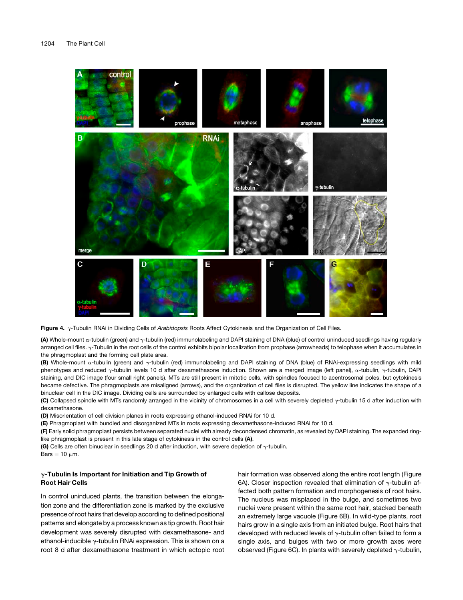

Figure 4. g-Tubulin RNAi in Dividing Cells of *Arabidopsis* Roots Affect Cytokinesis and the Organization of Cell Files.

(A) Whole-mount a-tubulin (green) and  $\gamma$ -tubulin (red) immunolabeling and DAPI staining of DNA (blue) of control uninduced seedlings having regularly arranged cell files.  $\gamma$ -Tubulin in the root cells of the control exhibits bipolar localization from prophase (arrowheads) to telophase when it accumulates in the phragmoplast and the forming cell plate area.

(B) Whole-mount  $\alpha$ -tubulin (green) and  $\gamma$ -tubulin (red) immunolabeling and DAPI staining of DNA (blue) of RNAi-expressing seedlings with mild phenotypes and reduced y-tubulin levels 10 d after dexamethasone induction. Shown are a merged image (left panel),  $\alpha$ -tubulin, y-tubulin, DAPI staining, and DIC image (four small right panels). MTs are still present in mitotic cells, with spindles focused to acentrosomal poles, but cytokinesis became defective. The phragmoplasts are misaligned (arrows), and the organization of cell files is disrupted. The yellow line indicates the shape of a binuclear cell in the DIC image. Dividing cells are surrounded by enlarged cells with callose deposits.

(C) Collapsed spindle with MTs randomly arranged in the vicinity of chromosomes in a cell with severely depleted  $\gamma$ -tubulin 15 d after induction with dexamethasone.

(D) Misorientation of cell division planes in roots expressing ethanol-induced RNAi for 10 d.

(E) Phragmoplast with bundled and disorganized MTs in roots expressing dexamethasone-induced RNAi for 10 d.

(F) Early solid phragmoplast persists between separated nuclei with already decondensed chromatin, as revealed by DAPI staining. The expanded ringlike phragmoplast is present in this late stage of cytokinesis in the control cells (A).

(G) Cells are often binuclear in seedlings 20 d after induction, with severe depletion of  $\gamma$ -tubulin.

Bars  $= 10 \mu m$ .

### $\gamma$ -Tubulin Is Important for Initiation and Tip Growth of Root Hair Cells

In control uninduced plants, the transition between the elongation zone and the differentiation zone is marked by the exclusive presence of root hairs that develop according to defined positional patterns and elongate by a process known as tip growth. Root hair development was severely disrupted with dexamethasone- and ethanol-inducible  $\gamma$ -tubulin RNAi expression. This is shown on a root 8 d after dexamethasone treatment in which ectopic root hair formation was observed along the entire root length (Figure 6A). Closer inspection revealed that elimination of  $\gamma$ -tubulin affected both pattern formation and morphogenesis of root hairs. The nucleus was misplaced in the bulge, and sometimes two nuclei were present within the same root hair, stacked beneath an extremely large vacuole (Figure 6B). In wild-type plants, root hairs grow in a single axis from an initiated bulge. Root hairs that developed with reduced levels of  $\gamma$ -tubulin often failed to form a single axis, and bulges with two or more growth axes were observed (Figure 6C). In plants with severely depleted  $\gamma$ -tubulin,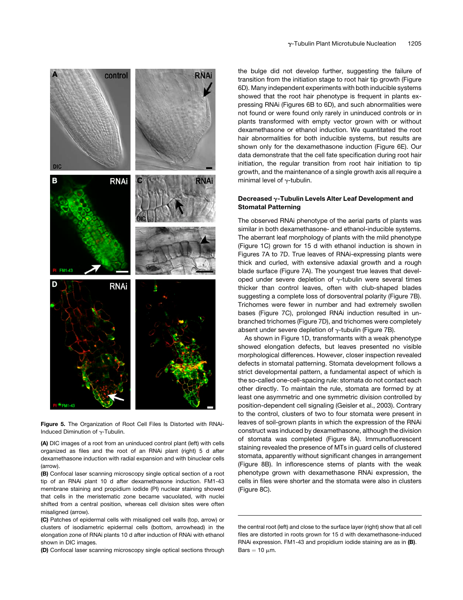

Figure 5. The Organization of Root Cell Files Is Distorted with RNAi-Induced Diminution of  $\gamma$ -Tubulin.

(A) DIC images of a root from an uninduced control plant (left) with cells organized as files and the root of an RNAi plant (right) 5 d after dexamethasone induction with radial expansion and with binuclear cells (arrow).

(B) Confocal laser scanning microscopy single optical section of a root tip of an RNAi plant 10 d after dexamethasone induction. FM1-43 membrane staining and propidium iodide (PI) nuclear staining showed that cells in the meristematic zone became vacuolated, with nuclei shifted from a central position, whereas cell division sites were often misaligned (arrow).

(C) Patches of epidermal cells with misaligned cell walls (top, arrow) or clusters of isodiametric epidermal cells (bottom, arrowhead) in the elongation zone of RNAi plants 10 d after induction of RNAi with ethanol shown in DIC images.

(D) Confocal laser scanning microscopy single optical sections through

the bulge did not develop further, suggesting the failure of transition from the initiation stage to root hair tip growth (Figure 6D). Many independent experiments with both inducible systems showed that the root hair phenotype is frequent in plants expressing RNAi (Figures 6B to 6D), and such abnormalities were not found or were found only rarely in uninduced controls or in plants transformed with empty vector grown with or without dexamethasone or ethanol induction. We quantitated the root hair abnormalities for both inducible systems, but results are shown only for the dexamethasone induction (Figure 6E). Our data demonstrate that the cell fate specification during root hair initiation, the regular transition from root hair initiation to tip growth, and the maintenance of a single growth axis all require a minimal level of  $\gamma$ -tubulin.

### Decreased  $\gamma$ -Tubulin Levels Alter Leaf Development and Stomatal Patterning

The observed RNAi phenotype of the aerial parts of plants was similar in both dexamethasone- and ethanol-inducible systems. The aberrant leaf morphology of plants with the mild phenotype (Figure 1C) grown for 15 d with ethanol induction is shown in Figures 7A to 7D. True leaves of RNAi-expressing plants were thick and curled, with extensive adaxial growth and a rough blade surface (Figure 7A). The youngest true leaves that developed under severe depletion of  $\gamma$ -tubulin were several times thicker than control leaves, often with club-shaped blades suggesting a complete loss of dorsoventral polarity (Figure 7B). Trichomes were fewer in number and had extremely swollen bases (Figure 7C), prolonged RNAi induction resulted in unbranched trichomes (Figure 7D), and trichomes were completely absent under severe depletion of  $\gamma$ -tubulin (Figure 7B).

As shown in Figure 1D, transformants with a weak phenotype showed elongation defects, but leaves presented no visible morphological differences. However, closer inspection revealed defects in stomatal patterning. Stomata development follows a strict developmental pattern, a fundamental aspect of which is the so-called one-cell-spacing rule: stomata do not contact each other directly. To maintain the rule, stomata are formed by at least one asymmetric and one symmetric division controlled by position-dependent cell signaling (Geisler et al., 2003). Contrary to the control, clusters of two to four stomata were present in leaves of soil-grown plants in which the expression of the RNAi construct was induced by dexamethasone, although the division of stomata was completed (Figure 8A). Immunofluorescent staining revealed the presence of MTs in guard cells of clustered stomata, apparently without significant changes in arrangement (Figure 8B). In inflorescence stems of plants with the weak phenotype grown with dexamethasone RNAi expression, the cells in files were shorter and the stomata were also in clusters (Figure 8C).

the central root (left) and close to the surface layer (right) show that all cell files are distorted in roots grown for 15 d with dexamethasone-induced RNAi expression. FM1-43 and propidium iodide staining are as in (B). Bars  $= 10 \mu m$ .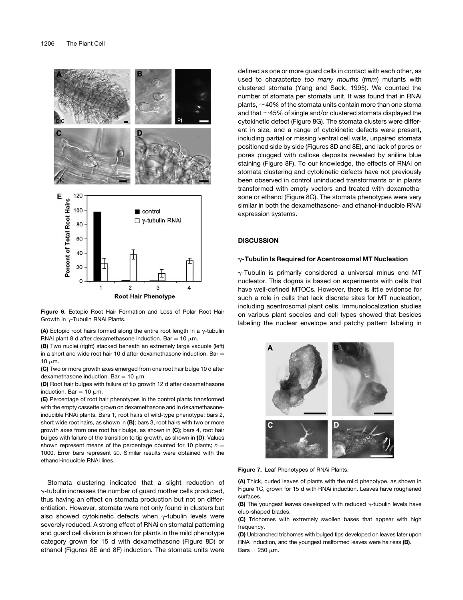

Figure 6. Ectopic Root Hair Formation and Loss of Polar Root Hair Growth in  $\gamma$ -Tubulin RNAi Plants.

(A) Ectopic root hairs formed along the entire root length in a  $\gamma$ -tubulin RNAi plant 8 d after dexamethasone induction. Bar = 10  $\mu$ m.

(B) Two nuclei (right) stacked beneath an extremely large vacuole (left) in a short and wide root hair 10 d after dexamethasone induction. Bar  $=$ 10  $\mu$ m.

(C) Two or more growth axes emerged from one root hair bulge 10 d after dexamethasone induction. Bar = 10  $\mu$ m.

(D) Root hair bulges with failure of tip growth 12 d after dexamethasone induction. Bar =  $10 \mu m$ .

(E) Percentage of root hair phenotypes in the control plants transformed with the empty cassette grown on dexamethasone and in dexamethasoneinducible RNAi plants. Bars 1, root hairs of wild-type phenotype; bars 2, short wide root hairs, as shown in (B); bars 3, root hairs with two or more growth axes from one root hair bulge, as shown in (C); bars 4, root hair bulges with failure of the transition to tip growth, as shown in (D). Values shown represent means of the percentage counted for 10 plants;  $n =$ 1000. Error bars represent SD. Similar results were obtained with the ethanol-inducible RNAi lines.

Stomata clustering indicated that a slight reduction of  $\gamma$ -tubulin increases the number of guard mother cells produced, thus having an effect on stomata production but not on differentiation. However, stomata were not only found in clusters but also showed cytokinetic defects when  $\gamma$ -tubulin levels were severely reduced. A strong effect of RNAi on stomatal patterning and guard cell division is shown for plants in the mild phenotype category grown for 15 d with dexamethasone (Figure 8D) or ethanol (Figures 8E and 8F) induction. The stomata units were

defined as one or more guard cells in contact with each other, as used to characterize *too many mouths* (*tmm*) mutants with clustered stomata (Yang and Sack, 1995). We counted the number of stomata per stomata unit. It was found that in RNAi plants,  $\sim$ 40% of the stomata units contain more than one stoma and that  $\sim$  45% of single and/or clustered stomata displayed the cytokinetic defect (Figure 8G). The stomata clusters were different in size, and a range of cytokinetic defects were present, including partial or missing ventral cell walls, unpaired stomata positioned side by side (Figures 8D and 8E), and lack of pores or pores plugged with callose deposits revealed by aniline blue staining (Figure 8F). To our knowledge, the effects of RNAi on stomata clustering and cytokinetic defects have not previously been observed in control uninduced transformants or in plants transformed with empty vectors and treated with dexamethasone or ethanol (Figure 8G). The stomata phenotypes were very similar in both the dexamethasone- and ethanol-inducible RNAi expression systems.

### **DISCUSSION**

### $\gamma$ -Tubulin Is Required for Acentrosomal MT Nucleation

 $\gamma$ -Tubulin is primarily considered a universal minus end MT nucleator. This dogma is based on experiments with cells that have well-defined MTOCs. However, there is little evidence for such a role in cells that lack discrete sites for MT nucleation, including acentrosomal plant cells. Immunolocalization studies on various plant species and cell types showed that besides labeling the nuclear envelope and patchy pattern labeling in



Figure 7. Leaf Phenotypes of RNAi Plants.

(A) Thick, curled leaves of plants with the mild phenotype, as shown in Figure 1C, grown for 15 d with RNAi induction. Leaves have roughened surfaces.

**(B)** The youngest leaves developed with reduced  $\gamma$ -tubulin levels have club-shaped blades.

(C) Trichomes with extremely swollen bases that appear with high frequency.

(D) Unbranched trichomes with bulged tips developed on leaves later upon RNAi induction, and the youngest malformed leaves were hairless (B). Bars  $= 250 \mu m$ .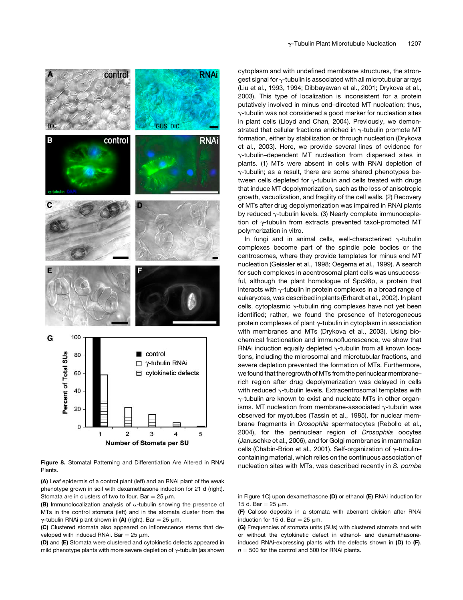

nucleation sites with MTs, was described recently in *S. pombe* Figure 8. Stomatal Patterning and Differentiation Are Altered in RNAi Plants.

(A) Leaf epidermis of a control plant (left) and an RNAi plant of the weak phenotype grown in soil with dexamethasone induction for 21 d (right). Stomata are in clusters of two to four. Bar =  $25 \text{ µm}$ .

(D) and (E) Stomata were clustered and cytokinetic defects appeared in mild phenotype plants with more severe depletion of  $\gamma$ -tubulin (as shown cytoplasm and with undefined membrane structures, the strongest signal for  $\gamma$ -tubulin is associated with all microtubular arrays (Liu et al., 1993, 1994; Dibbayawan et al., 2001; Drykova et al., 2003). This type of localization is inconsistent for a protein putatively involved in minus end–directed MT nucleation; thus,  $\gamma$ -tubulin was not considered a good marker for nucleation sites in plant cells (Lloyd and Chan, 2004). Previously, we demonstrated that cellular fractions enriched in  $\gamma$ -tubulin promote MT formation, either by stabilization or through nucleation (Drykova et al., 2003). Here, we provide several lines of evidence for  $\gamma$ -tubulin–dependent MT nucleation from dispersed sites in plants. (1) MTs were absent in cells with RNAi depletion of  $\gamma$ -tubulin; as a result, there are some shared phenotypes between cells depleted for  $\gamma$ -tubulin and cells treated with drugs that induce MT depolymerization, such as the loss of anisotropic growth, vacuolization, and fragility of the cell walls. (2) Recovery of MTs after drug depolymerization was impaired in RNAi plants by reduced  $\gamma$ -tubulin levels. (3) Nearly complete immunodepletion of  $\gamma$ -tubulin from extracts prevented taxol-promoted MT polymerization in vitro.

In fungi and in animal cells, well-characterized  $\gamma$ -tubulin complexes become part of the spindle pole bodies or the centrosomes, where they provide templates for minus end MT nucleation (Geissler et al., 1998; Oegema et al., 1999). A search for such complexes in acentrosomal plant cells was unsuccessful, although the plant homologue of Spc98p, a protein that interacts with  $\gamma$ -tubulin in protein complexes in a broad range of eukaryotes, was described in plants (Erhardt et al., 2002). In plant cells, cytoplasmic  $\gamma$ -tubulin ring complexes have not yet been identified; rather, we found the presence of heterogeneous protein complexes of plant  $\gamma$ -tubulin in cytoplasm in association with membranes and MTs (Drykova et al., 2003). Using biochemical fractionation and immunofluorescence, we show that RNAi induction equally depleted  $\gamma$ -tubulin from all known locations, including the microsomal and microtubular fractions, and severe depletion prevented the formation of MTs. Furthermore, we found that the regrowth of MTs from the perinuclear membrane– rich region after drug depolymerization was delayed in cells with reduced  $\gamma$ -tubulin levels. Extracentrosomal templates with  $\gamma$ -tubulin are known to exist and nucleate MTs in other organisms. MT nucleation from membrane-associated  $\gamma$ -tubulin was observed for myotubes (Tassin et al., 1985), for nuclear membrane fragments in *Drosophila* spermatocytes (Rebollo et al., 2004), for the perinuclear region of *Drosophila* oocytes (Januschke et al., 2006), and for Golgi membranes in mammalian cells (Chabin-Brion et al., 2001). Self-organization of  $\gamma$ -tubulincontaining material, which relies on the continuous association of

**<sup>(</sup>B)** Immunolocalization analysis of  $\alpha$ -tubulin showing the presence of MTs in the control stomata (left) and in the stomata cluster from the  $\gamma$ -tubulin RNAi plant shown in (A) (right). Bar = 25  $\mu$ m.

<sup>(</sup>C) Clustered stomata also appeared on inflorescence stems that developed with induced RNAi. Bar =  $25 \mu m$ .

in Figure 1C) upon dexamethasone (D) or ethanol (E) RNAi induction for 15 d. Bar =  $25 \mu m$ .

<sup>(</sup>F) Callose deposits in a stomata with aberrant division after RNAi induction for 15 d. Bar = 25  $\mu$ m.

<sup>(</sup>G) Frequencies of stomata units (SUs) with clustered stomata and with or without the cytokinetic defect in ethanol- and dexamethasoneinduced RNAi-expressing plants with the defects shown in (D) to (F).  $n = 500$  for the control and 500 for RNAi plants.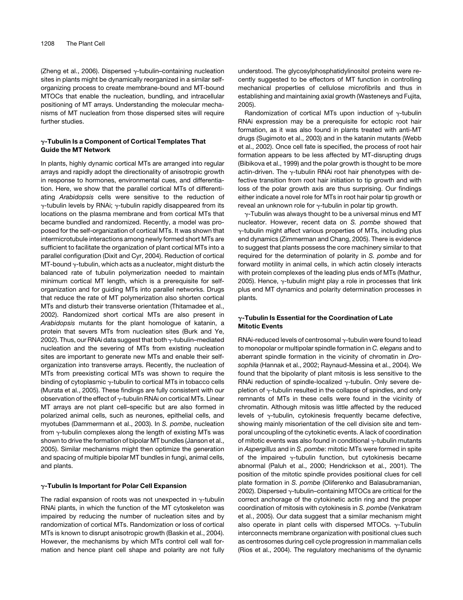(Zheng et al., 2006). Dispersed  $\gamma$ -tubulin–containing nucleation sites in plants might be dynamically reorganized in a similar selforganizing process to create membrane-bound and MT-bound MTOCs that enable the nucleation, bundling, and intracellular positioning of MT arrays. Understanding the molecular mechanisms of MT nucleation from those dispersed sites will require further studies.

### $\gamma$ -Tubulin Is a Component of Cortical Templates That Guide the MT Network

In plants, highly dynamic cortical MTs are arranged into regular arrays and rapidly adopt the directionality of anisotropic growth in response to hormones, environmental cues, and differentiation. Here, we show that the parallel cortical MTs of differentiating *Arabidopsis* cells were sensitive to the reduction of  $\gamma$ -tubulin levels by RNAi;  $\gamma$ -tubulin rapidly disappeared from its locations on the plasma membrane and from cortical MTs that became bundled and randomized. Recently, a model was proposed for the self-organization of cortical MTs. It was shown that intermicrotubule interactions among newly formed short MTs are sufficient to facilitate the organization of plant cortical MTs into a parallel configuration (Dixit and Cyr, 2004). Reduction of cortical MT-bound  $\gamma$ -tubulin, which acts as a nucleator, might disturb the balanced rate of tubulin polymerization needed to maintain minimum cortical MT length, which is a prerequisite for selforganization and for guiding MTs into parallel networks. Drugs that reduce the rate of MT polymerization also shorten cortical MTs and disturb their transverse orientation (Thitamadee et al., 2002). Randomized short cortical MTs are also present in *Arabidopsis* mutants for the plant homologue of katanin, a protein that severs MTs from nucleation sites (Burk and Ye, 2002). Thus, our RNAi data suggest that both  $\gamma$ -tubulin–mediated nucleation and the severing of MTs from existing nucleation sites are important to generate new MTs and enable their selforganization into transverse arrays. Recently, the nucleation of MTs from preexisting cortical MTs was shown to require the binding of cytoplasmic  $\gamma$ -tubulin to cortical MTs in tobacco cells (Murata et al., 2005). These findings are fully consistent with our observation of the effect of  $\gamma$ -tubulin RNAi on cortical MTs. Linear MT arrays are not plant cell–specific but are also formed in polarized animal cells, such as neurones, epithelial cells, and myotubes (Dammermann et al., 2003). In *S. pombe*, nucleation from  $\gamma$ -tubulin complexes along the length of existing MTs was shown to drive the formation of bipolar MT bundles (Janson et al., 2005). Similar mechanisms might then optimize the generation and spacing of multiple bipolar MT bundles in fungi, animal cells, and plants.

### $\gamma$ -Tubulin Is Important for Polar Cell Expansion

The radial expansion of roots was not unexpected in  $\gamma$ -tubulin RNAi plants, in which the function of the MT cytoskeleton was impaired by reducing the number of nucleation sites and by randomization of cortical MTs. Randomization or loss of cortical MTs is known to disrupt anisotropic growth (Baskin et al., 2004). However, the mechanisms by which MTs control cell wall formation and hence plant cell shape and polarity are not fully understood. The glycosylphosphatidylinositol proteins were recently suggested to be effectors of MT function in controlling mechanical properties of cellulose microfibrils and thus in establishing and maintaining axial growth (Wasteneys and Fujita, 2005).

Randomization of cortical MTs upon induction of  $\gamma$ -tubulin RNAi expression may be a prerequisite for ectopic root hair formation, as it was also found in plants treated with anti-MT drugs (Sugimoto et al., 2003) and in the katanin mutants (Webb et al., 2002). Once cell fate is specified, the process of root hair formation appears to be less affected by MT-disrupting drugs (Bibikova et al., 1999) and the polar growth is thought to be more actin-driven. The  $\gamma$ -tubulin RNAi root hair phenotypes with defective transition from root hair initiation to tip growth and with loss of the polar growth axis are thus surprising. Our findings either indicate a novel role for MTs in root hair polar tip growth or reveal an unknown role for  $\gamma$ -tubulin in polar tip growth.

 $\gamma$ -Tubulin was always thought to be a universal minus end MT nucleator. However, recent data on *S. pombe* showed that  $\gamma$ -tubulin might affect various properties of MTs, including plus end dynamics (Zimmerman and Chang, 2005). There is evidence to suggest that plants possess the core machinery similar to that required for the determination of polarity in *S. pombe* and for forward motility in animal cells, in which actin closely interacts with protein complexes of the leading plus ends of MTs (Mathur, 2005). Hence,  $\gamma$ -tubulin might play a role in processes that link plus end MT dynamics and polarity determination processes in plants.

### $\gamma$ -Tubulin Is Essential for the Coordination of Late Mitotic Events

RNAi-reduced levels of centrosomal  $\gamma$ -tubulin were found to lead to monopolar or multipolar spindle formation in *C. elegans* and to aberrant spindle formation in the vicinity of chromatin in *Drosophila* (Hannak et al., 2002; Raynaud-Messina et al., 2004). We found that the bipolarity of plant mitosis is less sensitive to the RNAi reduction of spindle-localized  $\gamma$ -tubulin. Only severe depletion of  $\gamma$ -tubulin resulted in the collapse of spindles, and only remnants of MTs in these cells were found in the vicinity of chromatin. Although mitosis was little affected by the reduced levels of  $\gamma$ -tubulin, cytokinesis frequently became defective, showing mainly misorientation of the cell division site and temporal uncoupling of the cytokinetic events. A lack of coordination of mitotic events was also found in conditional  $\gamma$ -tubulin mutants in *Aspergillus* and in *S. pombe*: mitotic MTs were formed in spite of the impaired  $\gamma$ -tubulin function, but cytokinesis became abnormal (Paluh et al., 2000; Hendrickson et al., 2001). The position of the mitotic spindle provides positional clues for cell plate formation in *S. pombe* (Oliferenko and Balasubramanian, 2002). Dispersed  $\gamma$ -tubulin–containing MTOCs are critical for the correct anchorage of the cytokinetic actin ring and the proper coordination of mitosis with cytokinesis in *S. pombe* (Venkatram et al., 2005). Our data suggest that a similar mechanism might also operate in plant cells with dispersed MTOCs.  $\gamma$ -Tubulin interconnects membrane organization with positional clues such as centrosomes during cell cycle progression in mammalian cells (Rios et al., 2004). The regulatory mechanisms of the dynamic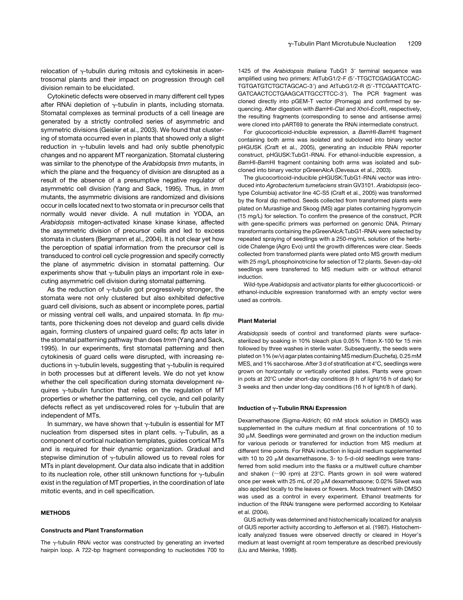relocation of  $\gamma$ -tubulin during mitosis and cytokinesis in acentrosomal plants and their impact on progression through cell division remain to be elucidated.

Cytokinetic defects were observed in many different cell types after RNAi depletion of  $\gamma$ -tubulin in plants, including stomata. Stomatal complexes as terminal products of a cell lineage are generated by a strictly controlled series of asymmetric and symmetric divisions (Geisler et al., 2003). We found that clustering of stomata occurred even in plants that showed only a slight reduction in  $\gamma$ -tubulin levels and had only subtle phenotypic changes and no apparent MT reorganization. Stomatal clustering was similar to the phenotype of the *Arabidopsis tmm* mutants, in which the plane and the frequency of division are disrupted as a result of the absence of a presumptive negative regulator of asymmetric cell division (Yang and Sack, 1995). Thus, in *tmm* mutants, the asymmetric divisions are randomized and divisions occur in cells located next to two stomata or in precursor cells that normally would never divide. A null mutation in YODA, an *Arabidopsis* mitogen-activated kinase kinase kinase, affected the asymmetric division of precursor cells and led to excess stomata in clusters (Bergmann et al., 2004). It is not clear yet how the perception of spatial information from the precursor cell is transduced to control cell cycle progression and specify correctly the plane of asymmetric division in stomatal patterning. Our experiments show that  $\gamma$ -tubulin plays an important role in executing asymmetric cell division during stomatal patterning.

As the reduction of  $\gamma$ -tubulin got progressively stronger, the stomata were not only clustered but also exhibited defective guard cell divisions, such as absent or incomplete pores, partial or missing ventral cell walls, and unpaired stomata. In *flp* mutants, pore thickening does not develop and guard cells divide again, forming clusters of unpaired guard cells; *flp* acts later in the stomatal patterning pathway than does *tmm* (Yang and Sack, 1995). In our experiments, first stomatal patterning and then cytokinesis of guard cells were disrupted, with increasing reductions in  $\gamma$ -tubulin levels, suggesting that  $\gamma$ -tubulin is required in both processes but at different levels. We do not yet know whether the cell specification during stomata development requires  $\gamma$ -tubulin function that relies on the regulation of MT properties or whether the patterning, cell cycle, and cell polarity defects reflect as yet undiscovered roles for  $\gamma$ -tubulin that are independent of MTs.

In summary, we have shown that  $\gamma$ -tubulin is essential for MT nucleation from dispersed sites in plant cells.  $\gamma$ -Tubulin, as a component of cortical nucleation templates, guides cortical MTs and is required for their dynamic organization. Gradual and stepwise diminution of  $\gamma$ -tubulin allowed us to reveal roles for MTs in plant development. Our data also indicate that in addition to its nucleation role, other still unknown functions for  $\gamma$ -tubulin exist in the regulation of MT properties, in the coordination of late mitotic events, and in cell specification.

#### METHODS

### Constructs and Plant Transformation

The  $\gamma$ -tubulin RNAi vector was constructed by generating an inverted hairpin loop. A 722-bp fragment corresponding to nucleotides 700 to 1425 of the Arabidopsis thaliana TubG1 3' terminal sequence was amplified using two primers: AtTubG1/2-F (5'-TTGCTCGAGGATCCAC-TGTGATGTCTGCTAGCAC-3') and AtTubG1/2-R (5'-TTCGAATTCATC-GATCAACTCCTGAAGCATTGCCTTCC-3'). The PCR fragment was cloned directly into pGEM-T vector (Promega) and confirmed by sequencing. After digestion with *Bam*HI-*Cla*I and *Xho*I-*Eco*RI, respectively, the resulting fragments (corresponding to sense and antisense arms) were cloned into pART69 to generate the RNAi intermediate construct.

For glucocorticoid-inducible expression, a *Bam*HI-*Bam*HI fragment containing both arms was isolated and subcloned into binary vector pHGUSK (Craft et al., 2005), generating an inducible RNAi reporter construct, pHGUSK:TubG1-RNAi. For ethanol-inducible expression, a *Bam*HI-*Bam*HI fragment containing both arms was isolated and subcloned into binary vector pGreenAlcA (Deveaux et al., 2003).

The glucocorticoid-inducible pHGUSK:TubG1-RNAi vector was introduced into *Agrobacterium tumefaciens* strain GV3101. *Arabidopsis* (ecotype Columbia) activator line 4C-S5 (Craft et al., 2005) was transformed by the floral dip method. Seeds collected from transformed plants were plated on Murashige and Skoog (MS) agar plates containing hygromycin (15 mg/L) for selection. To confirm the presence of the construct, PCR with gene-specific primers was performed on genomic DNA. Primary transformants containing the pGreenAlcA:TubG1-RNAi were selected by repeated spraying of seedlings with a 250-mg/mL solution of the herbicide Chalenge (Agro Evo) until the growth differences were clear. Seeds collected from transformed plants were plated onto MS growth medium with 25 mg/L phosphoinotricine for selection of T2 plants. Seven-day-old seedlings were transferred to MS medium with or without ethanol induction.

Wild-type *Arabidopsis* and activator plants for either glucocorticoid- or ethanol-inducible expression transformed with an empty vector were used as controls.

#### Plant Material

*Arabidopsis* seeds of control and transformed plants were surfacesterilized by soaking in 10% bleach plus 0.05% Triton X-100 for 15 min followed by three washes in sterile water. Subsequently, the seeds were plated on 1% (w/v) agar plates containing MS medium (Duchefa), 0.25 mM MES, and 1% saccharose. After 3 d of stratification at  $4^{\circ}$ C, seedlings were grown on horizontally or vertically oriented plates. Plants were grown in pots at 20°C under short-day conditions (8 h of light/16 h of dark) for 3 weeks and then under long-day conditions (16 h of light/8 h of dark).

### Induction of  $\gamma$ -Tubulin RNAi Expression

Dexamethasone (Sigma-Aldrich; 60 mM stock solution in DMSO) was supplemented in the culture medium at final concentrations of 10 to  $30 \mu$ M. Seedlings were germinated and grown on the induction medium for various periods or transferred for induction from MS medium at different time points. For RNAi induction in liquid medium supplemented with 10 to 20  $\mu$ M dexamethasone, 3- to 5-d-old seedlings were transferred from solid medium into the flasks or a multiwell culture chamber and shaken ( $\sim$ 90 rpm) at 23°C. Plants grown in soil were watered once per week with 25 mL of 20  $\mu$ M dexamethasone; 0.02% Silwet was also applied locally to the leaves or flowers. Mock treatment with DMSO was used as a control in every experiment. Ethanol treatments for induction of the RNAi transgene were performed according to Ketelaar et al. (2004).

GUS activity was determined and histochemically localized for analysis of GUS reporter activity according to Jefferson et al. (1987). Histochemically analyzed tissues were observed directly or cleared in Hoyer's medium at least overnight at room temperature as described previously (Liu and Meinke, 1998).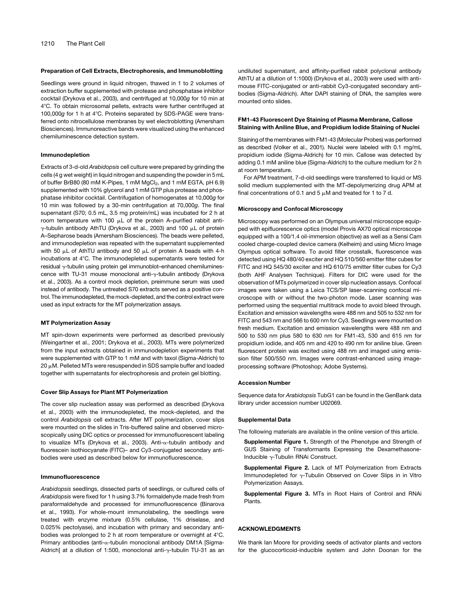#### Preparation of Cell Extracts, Electrophoresis, and Immunoblotting

Seedlings were ground in liquid nitrogen, thawed in 1 to 2 volumes of extraction buffer supplemented with protease and phosphatase inhibitor cocktail (Drykova et al., 2003), and centrifuged at 10,000*g* for 10 min at 4°C. To obtain microsomal pellets, extracts were further centrifuged at 100,000g for 1 h at 4°C. Proteins separated by SDS-PAGE were transferred onto nitrocellulose membranes by wet electroblotting (Amersham Biosciences). Immunoreactive bands were visualized using the enhanced chemiluminescence detection system.

#### Immunodepletion

Extracts of 3-d-old *Arabidopsis* cell culture were prepared by grinding the cells (4 g wet weight) in liquid nitrogen and suspending the powder in 5 mL of buffer BrB80 (80 mM K-Pipes, 1 mM MgCl<sub>2</sub>, and 1 mM EGTA, pH 6.9) supplemented with 10% glycerol and 1 mM GTP plus protease and phosphatase inhibitor cocktail. Centrifugation of homogenates at 10,000*g* for 10 min was followed by a 30-min centrifugation at 70,000*g*. The final supernatant (S70; 0.5 mL, 3.5 mg protein/mL) was incubated for 2 h at room temperature with 100  $\mu$ L of the protein A-purified rabbit anti- $\gamma$ -tubulin antibody AthTU (Drykova et al., 2003) and 100  $\mu$ L of protein A–Sepharose beads (Amersham Biosciences). The beads were pelleted, and immunodepletion was repeated with the supernatant supplemented with 50  $\mu$ L of AthTU antibody and 50  $\mu$ L of protein A beads with 4-h incubations at 4°C. The immunodepleted supernatants were tested for residual  $\gamma$ -tubulin using protein gel immunoblot–enhanced chemiluminescence with TU-31 mouse monoclonal anti-g-tubulin antibody (Drykova et al., 2003). As a control mock depletion, preimmune serum was used instead of antibody. The untreated S70 extracts served as a positive control. The immunodepleted, the mock-depleted, and the control extract were used as input extracts for the MT polymerization assays.

#### MT Polymerization Assay

MT spin-down experiments were performed as described previously (Weingartner et al., 2001; Drykova et al., 2003). MTs were polymerized from the input extracts obtained in immunodepletion experiments that were supplemented with GTP to 1 mM and with taxol (Sigma-Aldrich) to  $20 \mu$ M. Pelleted MTs were resuspended in SDS sample buffer and loaded together with supernatants for electrophoresis and protein gel blotting.

### Cover Slip Assays for Plant MT Polymerization

The cover slip nucleation assay was performed as described (Drykova et al., 2003) with the immunodepleted, the mock-depleted, and the control *Arabidopsis* cell extracts. After MT polymerization, cover slips were mounted on the slides in Tris-buffered saline and observed microscopically using DIC optics or processed for immunofluorescent labeling to visualize MTs (Drykova et al., 2003). Anti-a-tubulin antibody and fluorescein isothiocyanate (FITC)– and Cy3-conjugated secondary antibodies were used as described below for immunofluorescence.

### Immunofluorescence

*Arabidopsis* seedlings, dissected parts of seedlings, or cultured cells of *Arabidopsis* were fixed for 1 h using 3.7% formaldehyde made fresh from paraformaldehyde and processed for immunofluorescence (Binarova et al., 1993). For whole-mount immunolabeling, the seedlings were treated with enzyme mixture (0.5% cellulase, 1% driselase, and 0.025% pectolyase), and incubation with primary and secondary antibodies was prolonged to 2 h at room temperature or overnight at  $4^{\circ}$ C. Primary antibodies (anti- $\alpha$ -tubulin monoclonal antibody DM1A [Sigma-Aldrich] at a dilution of 1:500, monoclonal anti- $\gamma$ -tubulin TU-31 as an undiluted supernatant, and affinity-purified rabbit polyclonal antibody AthTU at a dilution of 1:1000) (Drykova et al., 2003) were used with antimouse FITC-conjugated or anti-rabbit Cy3-conjugated secondary antibodies (Sigma-Aldrich). After DAPI staining of DNA, the samples were mounted onto slides.

### FM1-43 Fluorescent Dye Staining of Plasma Membrane, Callose Staining with Aniline Blue, and Propidium Iodide Staining of Nuclei

Staining of the membranes with FM1-43 (Molecular Probes) was performed as described (Volker et al., 2001). Nuclei were labeled with 0.1 mg/mL propidium iodide (Sigma-Aldrich) for 10 min. Callose was detected by adding 0.1 mM aniline blue (Sigma-Aldrich) to the culture medium for 2 h at room temperature.

For APM treatment, 7-d-old seedlings were transferred to liquid or MS solid medium supplemented with the MT-depolymerizing drug APM at final concentrations of 0.1 and 5  $\mu$ M and treated for 1 to 7 d.

#### Microscopy and Confocal Microscopy

Microscopy was performed on an Olympus universal microscope equipped with epifluorescence optics (model Provis AX70 optical microscope equipped with a 100/1.4 oil-immersion objective) as well as a Sensi Cam cooled charge-coupled device camera (Kelheim) and using Micro Image Olympus optical software. To avoid filter crosstalk, fluorescence was detected using HQ 480/40 exciter and HQ 510/560 emitter filter cubes for FITC and HQ 545/30 exciter and HQ 610/75 emitter filter cubes for Cy3 (both AHF Analysen Technique). Filters for DIC were used for the observation of MTs polymerized in cover slip nucleation assays. Confocal images were taken using a Leica TCS/SP laser-scanning confocal microscope with or without the two-photon mode. Laser scanning was performed using the sequential multitrack mode to avoid bleed through. Excitation and emission wavelengths were 488 nm and 505 to 532 nm for FITC and 543 nm and 566 to 600 nm for Cy3. Seedlings were mounted on fresh medium. Excitation and emission wavelengths were 488 nm and 500 to 530 nm plus 580 to 630 nm for FM1-43, 530 and 615 nm for propidium iodide, and 405 nm and 420 to 490 nm for aniline blue. Green fluorescent protein was excited using 488 nm and imaged using emission filter 500/550 nm. Images were contrast-enhanced using imageprocessing software (Photoshop; Adobe Systems).

#### Accession Number

Sequence data for *Arabidopsis* TubG1 can be found in the GenBank data library under accession number U02069.

#### Supplemental Data

The following materials are available in the online version of this article.

- Supplemental Figure 1. Strength of the Phenotype and Strength of GUS Staining of Transformants Expressing the Dexamethasone-Inducible  $\gamma$ -Tubulin RNAi Construct.
- Supplemental Figure 2. Lack of MT Polymerization from Extracts Immunodepleted for  $\gamma$ -Tubulin Observed on Cover Slips in in Vitro Polymerization Assays.
- Supplemental Figure 3. MTs in Root Hairs of Control and RNAi Plants.

#### ACKNOWLEDGMENTS

We thank Ian Moore for providing seeds of activator plants and vectors for the glucocorticoid-inducible system and John Doonan for the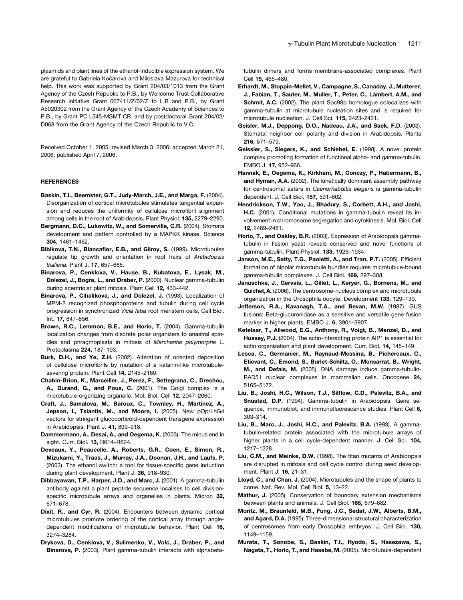plasmids and plant lines of the ethanol-inducible expression system. We are grateful to Gabriela Kočarova and Miloslava Mazurova for technical help. This work was supported by Grant 204/03/1013 from the Grant Agency of the Czech Republic to P.B., by Wellcome Trust Collaborative Research Initiative Grant 067411/Z/02/Z to L.B and P.B., by Grant A5020302 from the Grant Agency of the Czech Academy of Sciences to P.B., by Grant PC L545-MSMT CR, and by postdoctoral Grant 204/02/ D068 from the Grant Agency of the Czech Republic to V.C.

Received October 1, 2005; revised March 3, 2006; accepted March 21, 2006; published April 7, 2006.

#### REFERENCES

- Baskin, T.I., Beemster, G.T., Judy-March, J.E., and Marga, F. (2004). Disorganization of cortical microtubules stimulates tangential expansion and reduces the uniformity of cellulose microfibril alignment among cells in the root of Arabidopsis. Plant Physiol. 135, 2279–2290.
- Bergmann, D.C., Lukowitz, W., and Somerville, C.R. (2004). Stomata development and pattern controlled by a MAPKK kinase. Science 304, 1461–1462.
- Bibikova, T.N., Blancaflor, E.B., and Gilroy, S. (1999). Microtubules regulate tip growth and orientation in root hairs of *Arabidopsis thaliana.* Plant J. 17, 657–665.
- Binarova, P., Cenklova, V., Hause, B., Kubatova, E., Lysak, M., Dolezel, J., Bogre, L., and Draber, P. (2000). Nuclear gamma-tubulin during acentriolar plant mitosis. Plant Cell 12, 433–442.
- Binarova, P., Cihalikova, J., and Dolezel, J. (1993). Localization of MPM-2 recognized phosphoproteins and tubulin during cell cycle progression in synchronized *Vicia faba* root meristem cells. Cell Biol. Int. 17, 847–856.
- Brown, R.C., Lemmon, B.E., and Horio, T. (2004). Gamma-tubulin localization changes from discrete polar organizers to anastral spindles and phragmoplasts in mitosis of *Marchantia polymorpha* L. Protoplasma 224, 187–193.
- Burk, D.H., and Ye, Z.H. (2002). Alteration of oriented deposition of cellulose microfibrils by mutation of a katanin-like microtubulesevering protein. Plant Cell 14, 2145–2160.
- Chabin-Brion, K., Marceiller, J., Perez, F., Settegrana, C., Drechou, A., Durand, G., and Pous, C. (2001). The Golgi complex is a microtubule-organizing organelle. Mol. Biol. Cell 12, 2047–2060.
- Craft, J., Samalova, M., Baroux, C., Townley, H., Martinez, A., Jepson, I., Tsiantis, M., and Moore, I. (2005). New pOp/LhG4 vectors for stringent glucocorticoid-dependent transgene expression in Arabidopsis. Plant J. 41, 899–918.
- Dammermann, A., Desai, A., and Oegema, K. (2003). The minus end in sight. Curr. Biol. 13, R614–R624.
- Deveaux, Y., Peaucelle, A., Roberts, G.R., Coen, E., Simon, R., Mizukami, Y., Traas, J., Murray, J.A., Doonan, J.H., and Laufs, P. (2003). The ethanol switch: a tool for tissue-specific gene induction during plant development. Plant J. 36, 918–930.
- Dibbayawan, T.P., Harper, J.D., and Marc, J. (2001). A gamma-tubulin antibody against a plant peptide sequence localises to cell divisionspecific microtubule arrays and organelles in plants. Micron 32, 671–678.
- Dixit, R., and Cyr, R. (2004). Encounters between dynamic cortical microtubules promote ordering of the cortical array through angledependent modifications of microtubule behavior. Plant Cell 16, 3274–3284.
- Drykova, D., Cenklova, V., Sulimenko, V., Volc, J., Draber, P., and Binarova, P. (2003). Plant gamma-tubulin interacts with alphabeta-

tubulin dimers and forms membrane-associated complexes. Plant Cell 15, 465–480.

- Erhardt, M., Stoppin-Mellet, V., Campagne, S., Canaday, J., Mutterer, J., Fabian, T., Sauter, M., Muller, T., Peter, C., Lambert, A.M., and Schmit, A.C. (2002). The plant Spc98p homologue colocalizes with gamma-tubulin at microtubule nucleation sites and is required for microtubule nucleation. J. Cell Sci. 115, 2423–2431.
- Geisler, M.J., Deppong, D.O., Nadeau, J.A., and Sack, F.D. (2003). Stomatal neighbor cell polarity and division in Arabidopsis. Planta 216, 571–579.
- Geissler, S., Siegers, K., and Schiebel, E. (1998). A novel protein complex promoting formation of functional alpha- and gamma-tubulin. EMBO J. 17, 952–966.
- Hannak, E., Oegema, K., Kirkham, M., Gonczy, P., Habermann, B., and Hyman, A.A. (2002). The kinetically dominant assembly pathway for centrosomal asters in *Caenorhabditis elegans* is gamma-tubulin dependent. J. Cell Biol. 157, 591–602.
- Hendrickson, T.W., Yao, J., Bhadury, S., Corbett, A.H., and Joshi, H.C. (2001). Conditional mutations in gamma-tubulin reveal its involvement in chromosome segregation and cytokinesis. Mol. Biol. Cell 12, 2469–2481.
- Horio, T., and Oakley, B.R. (2003). Expression of Arabidopsis gammatubulin in fission yeast reveals conserved and novel functions of gamma-tubulin. Plant Physiol. 133, 1926–1934.
- Janson, M.E., Setty, T.G., Paoletti, A., and Tran, P.T. (2005). Efficient formation of bipolar microtubule bundles requires microtubule-bound gamma-tubulin complexes. J. Cell Biol. 169, 297–308.
- Januschke, J., Gervais, L., Gillet, L., Keryer, G., Bornens, M., and Guichet, A. (2006). The centrosome-nucleus complex and microtubule organization in the Drosophila oocyte. Development 133, 129–139.
- Jefferson, R.A., Kavanagh, T.A., and Bevan, M.W. (1987). GUS fusions: Beta-glucuronidase as a sensitive and versatile gene fusion marker in higher plants. EMBO J. 6, 3901–3907.
- Ketelaar, T., Allwood, E.G., Anthony, R., Voigt, B., Menzel, D., and Hussey, P.J. (2004). The actin-interacting protein AIP1 is essential for actin organization and plant development. Curr. Biol. 14, 145–149.
- Lesca, C., Germanier, M., Raynaud-Messina, B., Pichereaux, C., Etievant, C., Emond, S., Burlet-Schiltz, O., Monsarrat, B., Wright, M., and Defais, M. (2005). DNA damage induce gamma-tubulin-RAD51 nuclear complexes in mammalian cells. Oncogene 24, 5165–5172.
- Liu, B., Joshi, H.C., Wilson, T.J., Silflow, C.D., Palevitz, B.A., and Snustad, D.P. (1994). Gamma-tubulin in Arabidopsis: Gene sequence, immunoblot, and immunofluorescence studies. Plant Cell 6, 303–314.
- Liu, B., Marc, J., Joshi, H.C., and Palevitz, B.A. (1993). A gammatubulin-related protein associated with the microtubule arrays of higher plants in a cell cycle-dependent manner. J. Cell Sci. 104, 1217–1228.
- Liu, C.M., and Meinke, D.W. (1998). The titan mutants of Arabidopsis are disrupted in mitosis and cell cycle control during seed development. Plant J. 16, 21–31.
- Lloyd, C., and Chan, J. (2004). Microtubules and the shape of plants to come. Nat. Rev. Mol. Cell Biol. 5, 13–22.
- Mathur, J. (2005). Conservation of boundary extension mechanisms between plants and animals. J. Cell Biol. 168, 679–682.
- Moritz, M., Braunfeld, M.B., Fung, J.C., Sedat, J.W., Alberts, B.M., and Agard, D.A. (1995). Three-dimensional structural characterization of centrosomes from early Drosophila embryos. J. Cell Biol. 130, 1149–1159.
- Murata, T., Sonobe, S., Baskin, T.I., Hyodo, S., Hasezawa, S., Nagata, T., Horio, T., and Hasebe, M. (2005). Microtubule-dependent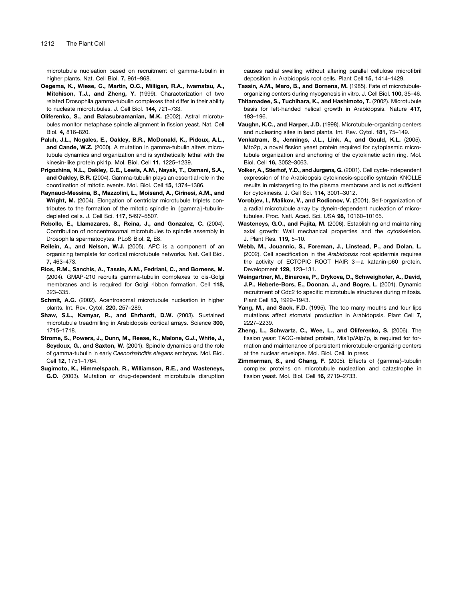microtubule nucleation based on recruitment of gamma-tubulin in higher plants. Nat. Cell Biol. **7.** 961–968.

- Oegema, K., Wiese, C., Martin, O.C., Milligan, R.A., Iwamatsu, A., Mitchison, T.J., and Zheng, Y. (1999). Characterization of two related Drosophila gamma-tubulin complexes that differ in their ability to nucleate microtubules. J. Cell Biol. 144, 721–733.
- Oliferenko, S., and Balasubramanian, M.K. (2002). Astral microtubules monitor metaphase spindle alignment in fission yeast. Nat. Cell Biol. 4, 816–820.
- Paluh, J.L., Nogales, E., Oakley, B.R., McDonald, K., Pidoux, A.L., and Cande, W.Z. (2000). A mutation in gamma-tubulin alters microtubule dynamics and organization and is synthetically lethal with the kinesin-like protein pkl1p. Mol. Biol. Cell 11, 1225–1239.
- Prigozhina, N.L., Oakley, C.E., Lewis, A.M., Nayak, T., Osmani, S.A., and Oakley, B.R. (2004). Gamma-tubulin plays an essential role in the coordination of mitotic events. Mol. Biol. Cell 15, 1374–1386.
- Raynaud-Messina, B., Mazzolini, L., Moisand, A., Cirinesi, A.M., and Wright, M. (2004). Elongation of centriolar microtubule triplets contributes to the formation of the mitotic spindle in  $\{gamma\}$ -tubulindepleted cells. J. Cell Sci. 117, 5497–5507.
- Rebollo, E., Llamazares, S., Reina, J., and Gonzalez, C. (2004). Contribution of noncentrosomal microtubules to spindle assembly in Drosophila spermatocytes. PLoS Biol. 2, E8.
- Reilein, A., and Nelson, W.J. (2005). APC is a component of an organizing template for cortical microtubule networks. Nat. Cell Biol. 7, 463–473.
- Rios, R.M., Sanchis, A., Tassin, A.M., Fedriani, C., and Bornens, M. (2004). GMAP-210 recruits gamma-tubulin complexes to cis-Golgi membranes and is required for Golgi ribbon formation. Cell 118, 323–335.
- Schmit, A.C. (2002). Acentrosomal microtubule nucleation in higher plants. Int. Rev. Cytol. 220, 257–289.
- Shaw, S.L., Kamyar, R., and Ehrhardt, D.W. (2003). Sustained microtubule treadmilling in Arabidopsis cortical arrays. Science 300, 1715–1718.
- Strome, S., Powers, J., Dunn, M., Reese, K., Malone, C.J., White, J., Seydoux, G., and Saxton, W. (2001). Spindle dynamics and the role of gamma-tubulin in early *Caenorhabditis elegans* embryos. Mol. Biol. Cell 12, 1751–1764.
- Sugimoto, K., Himmelspach, R., Williamson, R.E., and Wasteneys, G.O. (2003). Mutation or drug-dependent microtubule disruption

causes radial swelling without altering parallel cellulose microfibril deposition in Arabidopsis root cells. Plant Cell 15, 1414–1429.

- Tassin, A.M., Maro, B., and Bornens, M. (1985). Fate of microtubuleorganizing centers during myogenesis in vitro. J. Cell Biol. 100, 35–46.
- Thitamadee, S., Tuchihara, K., and Hashimoto, T. (2002). Microtubule basis for left-handed helical growth in Arabidopsis. Nature 417, 193–196.
- Vaughn, K.C., and Harper, J.D. (1998). Microtubule-organizing centers and nucleating sites in land plants. Int. Rev. Cytol. 181, 75–149.
- Venkatram, S., Jennings, J.L., Link, A., and Gould, K.L. (2005). Mto2p, a novel fission yeast protein required for cytoplasmic microtubule organization and anchoring of the cytokinetic actin ring. Mol. Biol. Cell 16, 3052–3063.
- Volker, A., Stierhof, Y.D., and Jurgens, G. (2001). Cell cycle-independent expression of the Arabidopsis cytokinesis-specific syntaxin KNOLLE results in mistargeting to the plasma membrane and is not sufficient for cytokinesis. J. Cell Sci. 114, 3001–3012.
- Vorobjev, I., Malikov, V., and Rodionov, V. (2001). Self-organization of a radial microtubule array by dynein-dependent nucleation of microtubules. Proc. Natl. Acad. Sci. USA 98, 10160–10165.
- Wasteneys, G.O., and Fujita, M. (2006). Establishing and maintaining axial growth: Wall mechanical properties and the cytoskeleton. J. Plant Res. 119, 5–10.
- Webb, M., Jouannic, S., Foreman, J., Linstead, P., and Dolan, L. (2002). Cell specification in the *Arabidopsis* root epidermis requires the activity of ECTOPIC ROOT HAIR 3—a katanin-p60 protein. Development 129, 123–131.
- Weingartner, M., Binarova, P., Drykova, D., Schweighofer, A., David, J.P., Heberle-Bors, E., Doonan, J., and Bogre, L. (2001). Dynamic recruitment of Cdc2 to specific microtubule structures during mitosis. Plant Cell 13, 1929–1943.
- Yang, M., and Sack, F.D. (1995). The too many mouths and four lips mutations affect stomatal production in Arabidopsis. Plant Cell 7, 2227–2239.
- Zheng, L., Schwartz, C., Wee, L., and Oliferenko, S. (2006). The fission yeast TACC-related protein, Mia1p/Alp7p, is required for formation and maintenance of persistent microtubule-organizing centers at the nuclear envelope. Mol. Biol. Cell, in press.
- **Zimmerman, S., and Chang, F.** (2005). Effects of  $\{gamma\}$ -tubulin complex proteins on microtubule nucleation and catastrophe in fission yeast. Mol. Biol. Cell 16, 2719–2733.